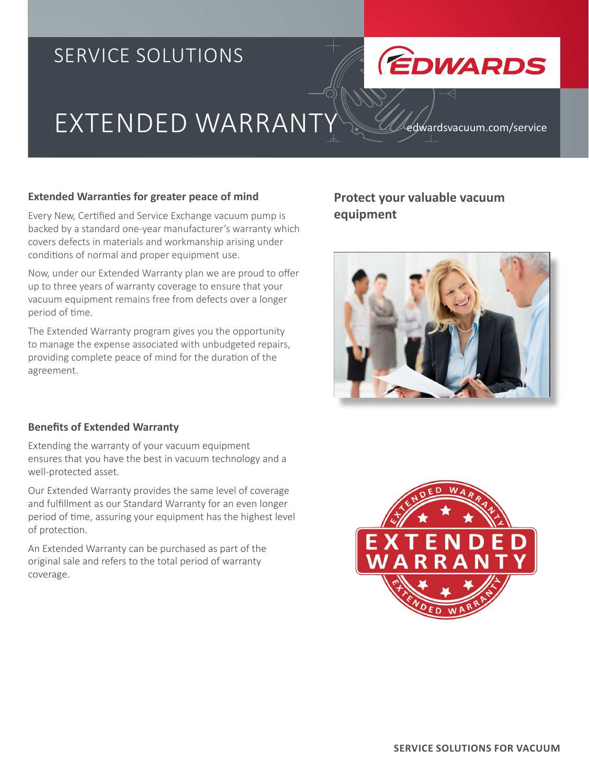## SERVICE SOLUTIONS



# EXTENDED WARRANT

edwardsvacuum.com/service

#### **Extended Warranties for greater peace of mind**

Every New, Certified and Service Exchange vacuum pump is backed by a standard one-year manufacturer's warranty which covers defects in materials and workmanship arising under conditions of normal and proper equipment use.

Now, under our Extended Warranty plan we are proud to offer up to three years of warranty coverage to ensure that your vacuum equipment remains free from defects over a longer period of time.

The Extended Warranty program gives you the opportunity to manage the expense associated with unbudgeted repairs, providing complete peace of mind for the duration of the agreement.

#### **Benefits of Extended Warranty**

Extending the warranty of your vacuum equipment ensures that you have the best in vacuum technology and a well-protected asset.

Our Extended Warranty provides the same level of coverage and fulfillment as our Standard Warranty for an even longer period of time, assuring your equipment has the highest level of protection.

An Extended Warranty can be purchased as part of the original sale and refers to the total period of warranty coverage.

#### **Protect your valuable vacuum equipment**